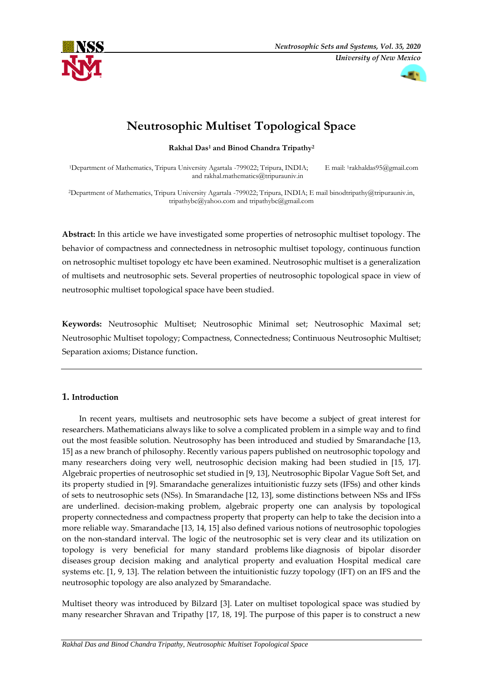



# **Neutrosophic Multiset Topological Space**

**Rakhal Das<sup>1</sup> and Binod Chandra Tripathy<sup>2</sup>**

<sup>1</sup>Department of Mathematics, Tripura University Agartala -799022; Tripura, INDIA; E mail: 1rakhaldas95@gmail.com and rakhal.mathematics@tripurauniv.in

<sup>2</sup>Department of Mathematics, Tripura University Agartala -799022; Tripura, INDIA; E mail binodtripathy@tripurauniv.in, tripathybc@yahoo.com and tripathybc@gmail.com

**Abstract:** In this article we have investigated some properties of netrosophic multiset topology. The behavior of compactness and connectedness in netrosophic multiset topology, continuous function on netrosophic multiset topology etc have been examined. Neutrosophic multiset is a generalization of multisets and neutrosophic sets. Several properties of neutrosophic topological space in view of neutrosophic multiset topological space have been studied.

**Keywords:** Neutrosophic Multiset; Neutrosophic Minimal set; Neutrosophic Maximal set; Neutrosophic Multiset topology; Compactness, Connectedness; Continuous Neutrosophic Multiset; Separation axioms; Distance function.

# **1. Introduction**

In recent years, multisets and neutrosophic sets have become a subject of great interest for researchers. Mathematicians always like to solve a complicated problem in a simple way and to find out the most feasible solution. Neutrosophy has been introduced and studied by Smarandache [13, 15] as a new branch of philosophy. Recently various papers published on neutrosophic topology and many researchers doing very well, neutrosophic decision making had been studied in [15, 17]. Algebraic properties of neutrosophic set studied in [9, 13], Neutrosophic Bipolar Vague Soft Set, and its property studied in [9]. Smarandache generalizes intuitionistic fuzzy sets (IFSs) and other kinds of sets to neutrosophic sets (NSs). In Smarandache [12, 13], some distinctions between NSs and IFSs are underlined. decision-making problem, algebraic property one can analysis by topological property connectedness and compactness property that property can help to take the decision into a more reliable way. Smarandache [13, 14, 15] also defined various notions of neutrosophic topologies on the non-standard interval. The logic of the neutrosophic set is very clear and its utilization on topology is very beneficial for many standard problems like diagnosis of bipolar disorder diseases group decision making and analytical property and evaluation Hospital medical care systems etc. [1, 9, 13]. The relation between the intuitionistic fuzzy topology (IFT) on an IFS and the neutrosophic topology are also analyzed by Smarandache.

Multiset theory was introduced by Bilzard [3]. Later on multiset topological space was studied by many researcher Shravan and Tripathy [17, 18, 19]. The purpose of this paper is to construct a new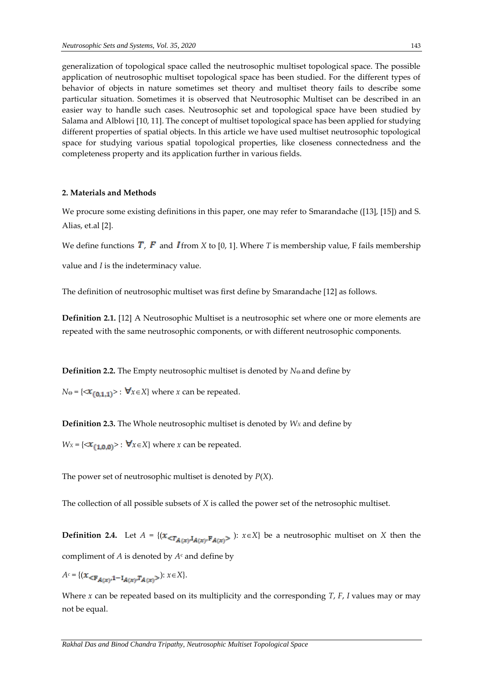generalization of topological space called the neutrosophic multiset topological space. The possible application of neutrosophic multiset topological space has been studied. For the different types of behavior of objects in nature sometimes set theory and multiset theory fails to describe some particular situation. Sometimes it is observed that Neutrosophic Multiset can be described in an easier way to handle such cases. Neutrosophic set and topological space have been studied by Salama and Alblowi [10, 11]. The concept of multiset topological space has been applied for studying different properties of spatial objects. In this article we have used multiset neutrosophic topological space for studying various spatial topological properties, like closeness connectedness and the completeness property and its application further in various fields.

# **2. Materials and Methods**

We procure some existing definitions in this paper, one may refer to Smarandache ([13], [15]) and S. Alias, et.al [2].

We define functions  $T$ ,  $F$  and  $I$  from  $X$  to [0, 1]. Where  $T$  is membership value, F fails membership

value and *I* is the indeterminacy value.

The definition of neutrosophic multiset was first define by Smarandache [12] as follows.

**Definition 2.1.** [12] A Neutrosophic Multiset is a neutrosophic set where one or more elements are repeated with the same neutrosophic components, or with different neutrosophic components.

**Definition 2.2.** The Empty neutrosophic multiset is denoted by *N*<sup>0</sup> and define by

 $N_{\Theta} = \{ \langle x_{(0,1,1)} \rangle : \forall x \in X \}$  where *x* can be repeated.

**Definition 2.3.** The Whole neutrosophic multiset is denoted by *W<sup>X</sup>* and define by

 $W_X = \{ \langle x_{(1,0,0)} \rangle : \forall x \in X \}$  where *x* can be repeated.

The power set of neutrosophic multiset is denoted by *P*(*X*).

The collection of all possible subsets of *X* is called the power set of the netrosophic multiset.

**Definition 2.4.** Let  $A = \{ (x_{\leq T_{A(x)}, I_{A(x)}, F_{A(x)} >}) : x \in X \}$  be a neutrosophic multiset on *X* then the compliment of *A* is denoted by *A*<sup>c</sup> and define by

 $A^c = \{ (x_{\leq F_{A(x)},1-\mathbf{I}_{A(x)},T_{A(x)} >}) : x \in X \}.$ 

Where *x* can be repeated based on its multiplicity and the corresponding *T*, *F*, *I* values may or may not be equal.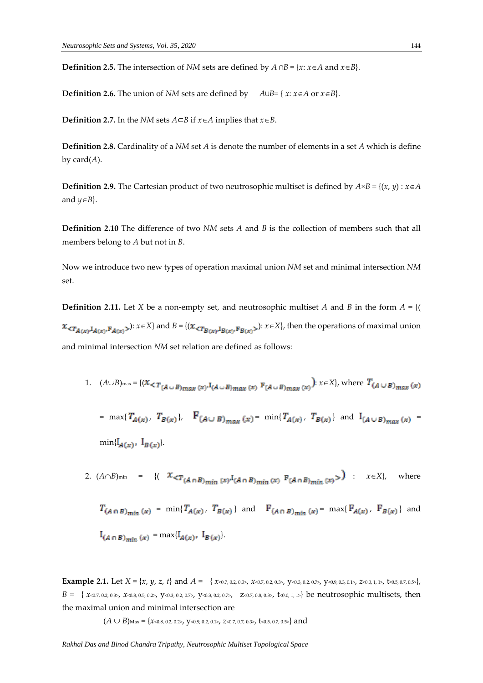**Definition 2.5.** The intersection of *NM* sets are defined by  $A \cap B = \{x: x \in A \text{ and } x \in B\}.$ 

**Definition 2.6.** The union of *NM* sets are defined by  $A \cup B = \{x : x \in A \text{ or } x \in B\}.$ 

**Definition 2.7.** In the *NM* sets *A*⊂*B* if  $x \in A$  implies that  $x \in B$ .

**Definition 2.8.** Cardinality of a *NM* set *A* is denote the number of elements in a set *A* which is define by card(*A*).

**Definition 2.9.** The Cartesian product of two neutrosophic multiset is defined by  $A \times B = \{(x, y) : x \in A$ and  $y \in B$ .

**Definition 2.10** The difference of two *NM* sets *A* and *B* is the collection of members such that all members belong to *A* but not in *B*.

Now we introduce two new types of operation maximal union *NM* set and minimal intersection *NM* set.

**Definition 2.11.** Let *X* be a non-empty set, and neutrosophic multiset *A* and *B* in the form  $A = \{(\}$  $x <_{\mathcal{T}_{A(x)}, I_{A(x)}, \mathbb{F}_{A(x)}>}$ :  $x \in X$  and  $B = \{(x <_{\mathcal{T}_{B(x)}, I_{B(x)}, \mathbb{F}_{B(x)}}): x \in X\}$ , then the operations of maximal union and minimal intersection *NM* set relation are defined as follows:

1.  $(A \cup B)_{\max} = \{ (x \leq T_{(A \cup B)_{\max}(x)} \cdot I_{(A \cup B)_{\max}(x)} \cdot F_{(A \cup B)_{\max}(x)} \cdot f_{(A \cup B)_{\max}(x)} \cdot f_{(A \cup B)_{\max}(x)} \cdot f_{(A \cup B)_{\max}(x)} \cdot f_{(A \cup B)_{\max}(x)} \cdot f_{(A \cup B)_{\max}(x)} \cdot f_{(A \cup B)_{\max}(x)} \cdot f_{(A \cup B)_{\max}(x)} \cdot f_{(A \cup B)_{\max}(x)} \cdot f_{(A \cup B)_{\max}(x)} \cdot f_{(A \cup B)$ 

= 
$$
\max\{T_{A(x)}, T_{B(x)}\}
$$
,  $F_{(A \cup B)_{max}}(x) = \min\{T_{A(x)}, T_{B(x)}\}$  and  $I_{(A \cup B)_{max}}(x) =$   
 $\min\{I_{A(x)}, I_{B(x)}\}$ .

2. 
$$
(A \cap B)_{\min} = \{ (X \leq T_{(A \cap B)_{\min}(x)} I_{(A \cap B)_{\min}(x)} F_{(A \cap B)_{\min}(x)} > 0 \mid x \in X \}, \text{ where}
$$

$$
T_{(A \cap B)_{min}}(x) = \min\{T_{A(x)}, T_{B(x)}\} \text{ and } F_{(A \cap B)_{min}}(x) = \max\{F_{A(x)}, F_{B(x)}\} \text{ and }
$$
  

$$
I_{(A \cap B)_{min}}(x) = \max\{I_{A(x)}, I_{B(x)}\}.
$$

**Example 2.1.** Let  $X = \{x, y, z, t\}$  and  $A = \{x \in (0.7, 0.2, 0.3), x \in (0.7, 0.2, 0.3), y \in (0.3, 0.2, 0.7), y \in (0.9, 0.3, 0.1), z \in (0.5, 0.7, 0.5)\}$  $B = \{x \le 0.7, 0.2, 0.3, x \le 0.8, 0.5, 0.2, y \le 0.3, 0.2, 0.7, y \le 0.3, 0.2, 0.7, z \le 0.7, 0.8, 0.3, z \le 0.0, 1, z\}$  be neutrosophic multisets, then the maximal union and minimal intersection are

 $(A \cup B)$ Max = { $x<sub>0.8</sub>, 0.2, 0.2$ },  $y<sub>0.9</sub>, 0.2, 0.1$ },  $z<sub>0.7</sub>, 0.7, 0.3$ },  $t<sub>0.5</sub>, 0.7, 0.5$ } and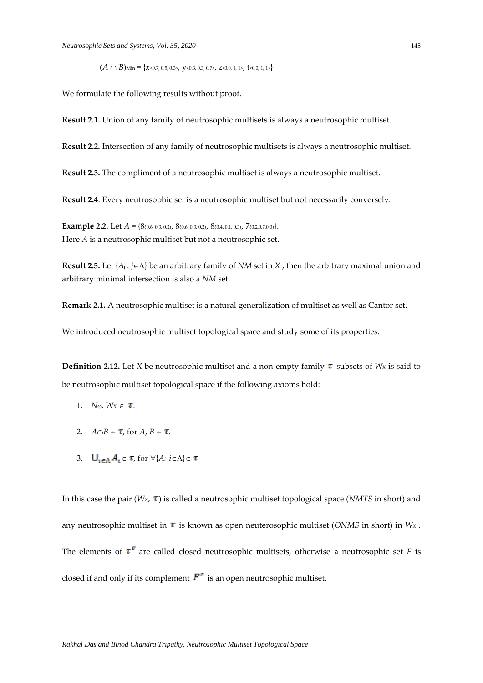$(A \cap B)$ Min = { $x<sub>0.7</sub>$ , 0.5, 0.3>,  $y<sub>0.3</sub>$ , 0.3, 0.7>,  $z<sub>0.0</sub>$ , 1, 1>,  $t<sub>0.0</sub>$ , 1, 1>}

We formulate the following results without proof.

**Result 2.1.** Union of any family of neutrosophic multisets is always a neutrosophic multiset.

**Result 2.2.** Intersection of any family of neutrosophic multisets is always a neutrosophic multiset.

**Result 2.3.** The compliment of a neutrosophic multiset is always a neutrosophic multiset.

**Result 2.4**. Every neutrosophic set is a neutrosophic multiset but not necessarily conversely.

**Example 2.2.** Let  $A = \{8_{(0.6, 0.3, 0.2)}, 8_{(0.6, 0.3, 0.2)}, 8_{(0.4, 0.1, 0.3)}, 7_{(0.2, 0.7, 0.0)}\}.$ Here *A* is a neutrosophic multiset but not a neutrosophic set.

**Result 2.5.** Let  $\{A_j : j \in \Lambda\}$  be an arbitrary family of *NM* set in *X* , then the arbitrary maximal union and arbitrary minimal intersection is also a *NM* set.

**Remark 2.1.** A neutrosophic multiset is a natural generalization of multiset as well as Cantor set.

We introduced neutrosophic multiset topological space and study some of its properties.

**Definition 2.12.** Let *X* be neutrosophic multiset and a non-empty family  $\tau$  subsets of *Wx* is said to be neutrosophic multiset topological space if the following axioms hold:

- 1. *N*<sub> $\theta$ </sub>, *W*<sub>*X*</sub>  $\in$  **t**.
- 2.  $A \cap B \in \mathcal{I}$ , for  $A, B \in \mathcal{I}$ ,
- 3.  $\bigcup_{i \in \Lambda} A_i \in \tau$ , for  $\forall \{A_i : i \in \Lambda\} \in \tau$

In this case the pair ( $W_x$ ,  $\tau$ ) is called a neutrosophic multiset topological space (*NMTS* in short) and any neutrosophic multiset in  $\tau$  is known as open neuterosophic multiset (*ONMS* in short) in  $W_X$ . The elements of  $\tau^c$  are called closed neutrosophic multisets, otherwise a neutrosophic set *F* is closed if and only if its complement  $F^c$  is an open neutrosophic multiset.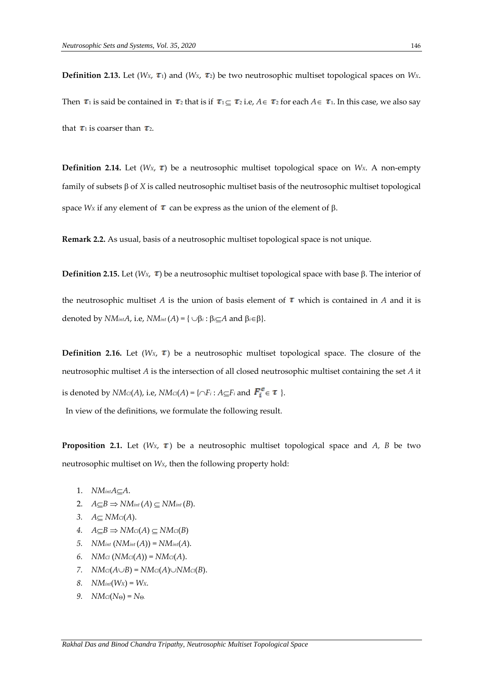**Definition 2.13.** Let (*W<sub>X</sub>*,  $\tau$ <sub>1</sub>) and (*W<sub>X</sub>*,  $\tau$ <sub>2</sub>) be two neutrosophic multiset topological spaces on *W<sub>X</sub>*. Then  $\tau_1$  is said be contained in  $\tau_2$  that is if  $\tau_1 \subseteq \tau_2$  i.e,  $A \in \tau_2$  for each  $A \in \tau_1$ . In this case, we also say that  $\tau_1$  is coarser than  $\tau_2$ .

**Definition 2.14.** Let ( $W_X$ ,  $\tau$ ) be a neutrosophic multiset topological space on  $W_X$ . A non-empty family of subsets  $\beta$  of  $X$  is called neutrosophic multiset basis of the neutrosophic multiset topological space *Wx* if any element of  $\tau$  can be express as the union of the element of  $\beta$ .

**Remark 2.2.** As usual, basis of a neutrosophic multiset topological space is not unique.

**Definition 2.15.** Let ( $W_x$ ,  $\tau$ ) be a neutrosophic multiset topological space with base  $\beta$ . The interior of the neutrosophic multiset *A* is the union of basis element of  $\tau$  which is contained in *A* and it is

**Definition 2.16.** Let  $(W_X, \tau)$  be a neutrosophic multiset topological space. The closure of the neutrosophic multiset *A* is the intersection of all closed neutrosophic multiset containing the set *A* it is denoted by  $NMc(A)$ , i.e,  $NMc(A) = \{\bigcap F_i : A \subseteq F_i \text{ and } F_i^c \in \tau \}.$ 

In view of the definitions, we formulate the following result.

denoted by  $NM_{int}A$ , i.e,  $NM_{int}(A) = \{\cup \beta_i : \beta_i \subseteq A \text{ and } \beta_i \in \beta\}.$ 

**Proposition 2.1.** Let  $(W_X, \tau)$  be a neutrosophic multiset topological space and *A, B* be two neutrosophic multiset on *WX*, then the following property hold:

- 1.  $NMintA\subseteq A$ .
- 2.  $A \subseteq B \Rightarrow NM_{int}(A) \subseteq NM_{int}(B)$ .
- 3.  $A \subset NMC(A)$ .
- 4.  $A \subseteq B \Rightarrow NMc(A) \subseteq NMc(B)$
- *5. NMint*  $(NM_{int}(A)) = NM_{int}(A)$ .
- *6. NMcl* (*NMcl*(*A*)) = *NMcl*(*A*).
- *7.*  $NMc(A \cup B) = NMc(A) \cup NMc(B).$
- *8. NMint*(*WX*) = *WX.*
- *9.*  $NMc(N_0) = N_0$ .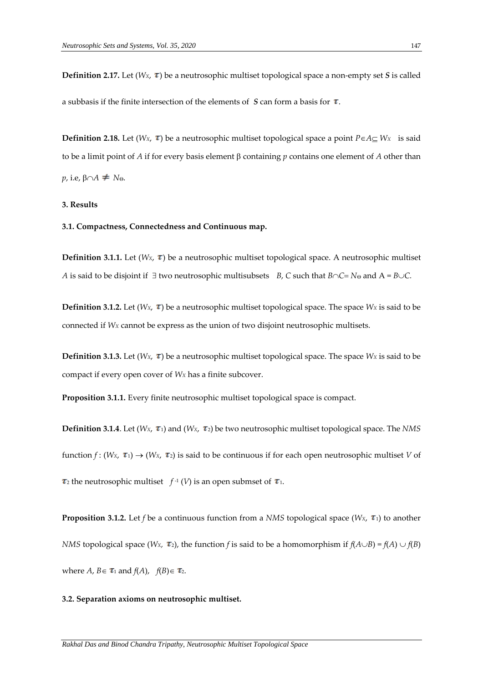**Definition 2.17.** Let  $(W_X, \tau)$  be a neutrosophic multiset topological space a non-empty set *S* is called a subbasis if the finite intersection of the elements of  $S$  can form a basis for  $\tau$ .

**Definition 2.18.** Let ( $W_X$ ,  $\tau$ ) be a neutrosophic multiset topological space a point  $P \in A \subset W_X$  is said to be a limit point of *A* if for every basis element  $\beta$  containing *p* contains one element of *A* other than  $p$ , i.e,  $\beta \cap A \neq N_{\Theta}$ .

### **3. Results**

## **3.1. Compactness, Connectedness and Continuous map.**

**Definition 3.1.1.** Let ( $W_x$ ,  $\tau$ ) be a neutrosophic multiset topological space. A neutrosophic multiset *A* is said to be disjoint if  $\exists$  two neutrosophic multisubsets *B*, *C* such that  $B \cap C = N_0$  and  $A = B \cup C$ .

**Definition 3.1.2.** Let ( $W_X$ ,  $\tau$ ) be a neutrosophic multiset topological space. The space  $W_X$  is said to be connected if *W<sup>X</sup>* cannot be express as the union of two disjoint neutrosophic multisets.

**Definition 3.1.3.** Let ( $W_X$ ,  $\tau$ ) be a neutrosophic multiset topological space. The space  $W_X$  is said to be compact if every open cover of *W<sup>X</sup>* has a finite subcover.

**Proposition 3.1.1.** Every finite neutrosophic multiset topological space is compact.

**Definition 3.1.4**. Let ( $W_x$ ,  $\tau_1$ ) and ( $W_x$ ,  $\tau_2$ ) be two neutrosophic multiset topological space. The *NMS* function  $f$  : ( $W$ *x*,  $\tau$ <sub>1</sub>)  $\rightarrow$  ( $W$ *x*,  $\tau$ <sub>2</sub>) is said to be continuous if for each open neutrosophic multiset *V* of  $_2$  the neutrosophic multiset  $f$ <sup>-1</sup> (*V*) is an open submset of  $\tau$ 1.

**Proposition 3.1.2.** Let *f* be a continuous function from a *NMS* topological space ( $W_X$ ,  $\tau_1$ ) to another *NMS* topological space  $(W_X, \tau_2)$ , the function *f* is said to be a homomorphism if  $f(A \cup B) = f(A) \cup f(B)$ where *A*, *B*  $\in$  **t**<sub>1</sub> and *f*(*A*), *f*(*B*) $\in$  **t**<sub>2</sub>.

#### **3.2. Separation axioms on neutrosophic multiset.**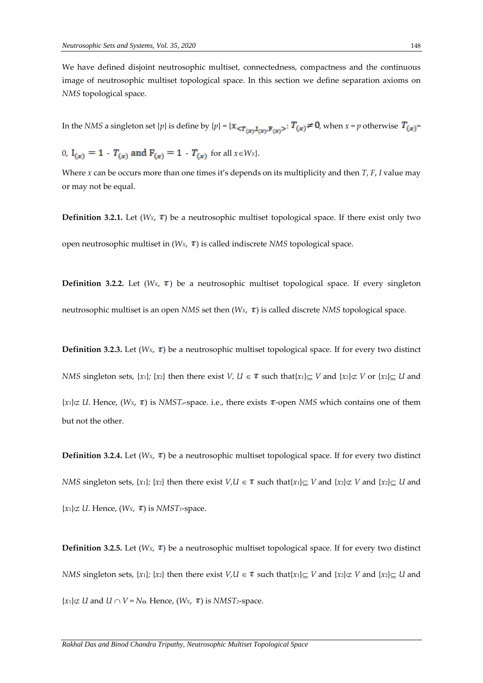We have defined disjoint neutrosophic multiset, connectedness, compactness and the continuous image of neutrosophic multiset topological space. In this section we define separation axioms on *NMS* topological space.

In the *NMS* a singleton set {*p*} is define by {*p*} = { $x_{\leq T(x)^1}(x)^F(x)$ }  $T(x) \neq 0$ , when  $x = p$  otherwise  $T(x)$ =

0,  $I_{(x)} = 1$   $T_{(x)}$  and  $F_{(x)} = 1$   $T_{(x)}$  for all  $x \in W_x$ .

Where *x* can be occurs more than one times it's depends on its multiplicity and then *T*, *F*, *I* value may or may not be equal.

**Definition 3.2.1.** Let ( $W_x$ ,  $\tau$ ) be a neutrosophic multiset topological space. If there exist only two open neutrosophic multiset in  $(W_X, \tau)$  is called indiscrete *NMS* topological space.

**Definition 3.2.2.** Let  $(W_X, \tau)$  be a neutrosophic multiset topological space. If every singleton neutrosophic multiset is an open *NMS* set then  $(W_X, \tau)$  is called discrete *NMS* topological space.

**Definition 3.2.3.** Let  $(W_X, \tau)$  be a neutrosophic multiset topological space. If for every two distinct *NMS* singleton sets, {*x*<sub>1</sub>}; {*x*<sub>2</sub>} then there exist *V*,  $U \in \tau$  such that{*x*<sub>1</sub>} $\subseteq$  *V* and {*x*<sub>2</sub>} $\subset$  *V* or {*x*<sub>2</sub>} $\subseteq$  *U* and  ${x_1} \not\subset U$ . Hence, (*Wx*,  $\tau$ ) is *NMST*<sub>*o*</sub>-space. i.e., there exists  $\tau$ -open *NMS* which contains one of them but not the other.

**Definition 3.2.4.** Let ( $W_x$ ,  $\tau$ ) be a neutrosophic multiset topological space. If for every two distinct *NMS* singleton sets,  $\{x_1\}$ ;  $\{x_2\}$  then there exist  $V, U \in \tau$  such that $\{x_1\} \subseteq V$  and  $\{x_2\} \subset V$  and  $\{x_2\} \subseteq U$  and  ${x_1} \not\subset U$ . Hence,  $(W_X, \tau)$  is *NMST*<sup>1</sup>-space.

**Definition 3.2.5.** Let ( $W_x$ ,  $\tau$ ) be a neutrosophic multiset topological space. If for every two distinct *NMS* singleton sets, {*x*<sub>1</sub>};</sub> {*x*<sub>2</sub>} then there exist  $V, U \in \tau$  such that{*x*<sub>1</sub>} $\subseteq V$  and {*x*<sub>2</sub>} $\subseteq V$  and {*x*<sub>2</sub>} $\subseteq U$  and  ${x_1} \not\subset U$  and  $U \cap V = N_{\Theta}$ . Hence,  $(W_X, \tau)$  is *NMST*<sub>2</sub>-space.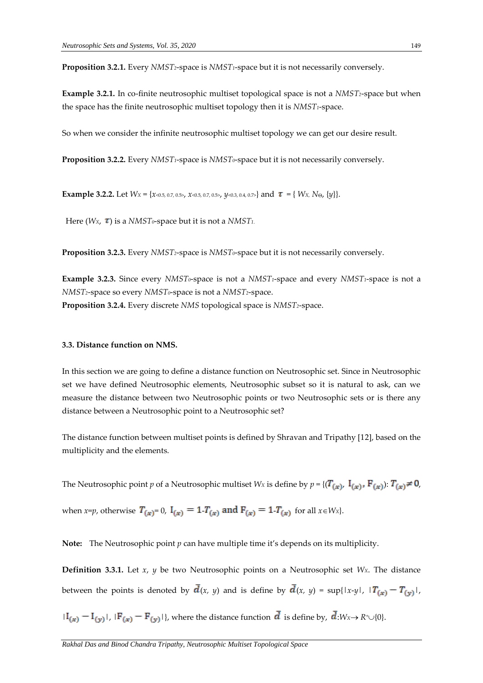**Proposition 3.2.1.** Every *NMST2*-space is *NMST1*-space but it is not necessarily conversely.

**Example 3.2.1.** In co-finite neutrosophic multiset topological space is not a *NMST2*-space but when the space has the finite neutrosophic multiset topology then it is *NMST1*-space.

So when we consider the infinite neutrosophic multiset topology we can get our desire result.

**Proposition 3.2.2.** Every *NMST1*-space is *NMST0*-space but it is not necessarily conversely.

**Example 3.2.2.** Let  $W_x = \{x \le 0.5, 0.7, 0.5, x \le 0.5, 0.7, 0.5, y \le 0.3, 0.4, 0.7\}$  and  $\tau = \{W_x, N_{\Theta}, \{y\}\}.$ 

Here  $(W_X, \tau)$  is a *NMST*<sup>0</sup>-space but it is not a *NMST*<sup>1</sup>.

**Proposition 3.2.3.** Every *NMST2*-space is *NMST0*-space but it is not necessarily conversely.

**Example 3.2.3.** Since every *NMST0*-space is not a *NMST1*-space and every *NMST1*-space is not a *NMST2*-space so every *NMST0*-space is not a *NMST2*-space. **Proposition 3.2.4.** Every discrete *NMS* topological space is *NMST2*-space.

#### **3.3. Distance function on NMS.**

In this section we are going to define a distance function on Neutrosophic set. Since in Neutrosophic set we have defined Neutrosophic elements, Neutrosophic subset so it is natural to ask, can we measure the distance between two Neutrosophic points or two Neutrosophic sets or is there any distance between a Neutrosophic point to a Neutrosophic set?

The distance function between multiset points is defined by Shravan and Tripathy [12], based on the multiplicity and the elements.

The Neutrosophic point *p* of a Neutrosophic multiset *Wx* is define by  $p = \{ (T_{(\alpha)}, I_{(\alpha)}, F_{(\alpha)}) : T_{(\alpha)} \neq 0,$ 

when *x*=*p*, otherwise  $T_{(x)} = 0$ ,  $I_{(x)} = 1$   $T_{(x)}$  and  $F_{(x)} = 1$   $T_{(x)}$  for all  $x \in W_x$ .

**Note:** The Neutrosophic point *p* can have multiple time it's depends on its multiplicity.

**Definition 3.3.1.** Let *x*, *y* be two Neutrosophic points on a Neutrosophic set *WX*. The distance between the points is denoted by  $\overline{d}(x, y)$  and is define by  $\overline{d}(x, y) = \sup\{|x-y|, |T_{(x)} - T_{(y)}|,$ 

 $|I_{(x)} - I_{(y)}|$ ,  $|F_{(x)} - F_{(y)}|$ , where the distance function  $\bar{d}$  is define by,  $\bar{d}$ :*Wx*  $\rightarrow$  *R*<sup>+</sup> $\cup$ {0}.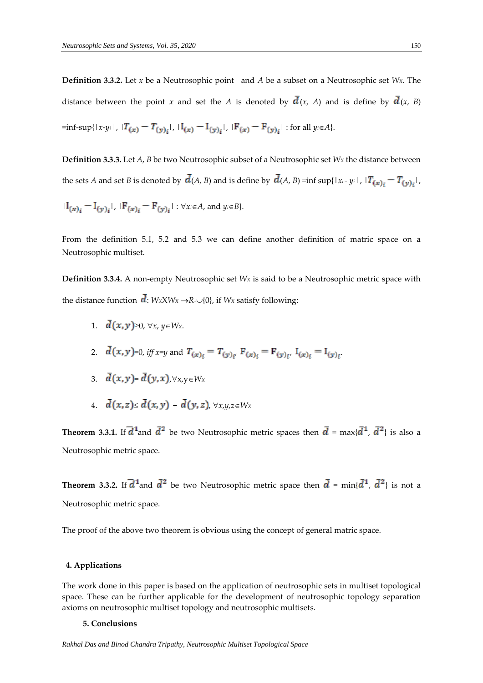**Definition 3.3.2.** Let *x* be a Neutrosophic point and *A* be a subset on a Neutrosophic set *WX*. The distance between the point *x* and set the *A* is denoted by  $\overline{d}(x, A)$  and is define by  $\overline{d}(x, B)$  $=\inf\{\sup\{|x-y_i|, |T(x)-T(y)_i|, |I(x)-I(y)_i|, |F(x)-F(y)_i| : \text{for all } y_i\in A\}.$ 

**Definition 3.3.3.** Let *A*, *B* be two Neutrosophic subset of a Neutrosophic set *W<sup>X</sup>* the distance between the sets *A* and set *B* is denoted by  $\overline{d}(A, B)$  and is define by  $\overline{d}(A, B)$  =inf sup{ $|x_i - y_i|$ ,  $|T_{(x)_i} - T_{(y)_i}|$ ,  $|I_{(x)_i} - I_{(y)_i}|$ ,  $|F_{(x)_i} - F_{(y)_i}|$ :  $\forall x_i \in A$ , and  $y_i \in B$ .

From the definition 5.1, 5.2 and 5.3 we can define another definition of matric space on a Neutrosophic multiset.

**Definition 3.3.4.** A non-empty Neutrosophic set *W<sup>X</sup>* is said to be a Neutrosophic metric space with the distance function  $\overline{d}$ : *WxXWx*  $\rightarrow$ *R*<sup> $+$ </sup> $\cup$ {0}, if *Wx* satisfy following:

- 1.  $\overline{d}(x, y) \geq 0$ .  $\forall x, y \in W_x$ .
- 2.  $\bar{d}(x, y) = 0$ , *iff*  $x=y$  and  $T(x) = T(y)$ ,  $F(x) = F(y)$ ,  $I(x) = I(y)$ .
- 3.  $\bar{d}(x,y) = \bar{d}(y,x)$ ,  $\forall x,y \in W_X$
- 4.  $\bar{d}(x, z) \leq \bar{d}(x, y) + \bar{d}(y, z)$ ,  $\forall x, y, z \in W_X$

**Theorem 3.3.1.** If  $\overline{d}^1$  and  $\overline{d}^2$  be two Neutrosophic metric spaces then  $\overline{d}$  = max{ $\overline{d}^1$ ,  $\overline{d}^2$ } is also a Neutrosophic metric space.

**Theorem 3.3.2.** If  $\overline{d}^1$  and  $\overline{d}^2$  be two Neutrosophic metric space then  $\overline{d}$  = min{ $\overline{d}^1$ ,  $\overline{d}^2$ } is not a Neutrosophic metric space.

The proof of the above two theorem is obvious using the concept of general matric space.

# **4. Applications**

The work done in this paper is based on the application of neutrosophic sets in multiset topological space. These can be further applicable for the development of neutrosophic topology separation axioms on neutrosophic multiset topology and neutrosophic multisets.

#### **5. Conclusions**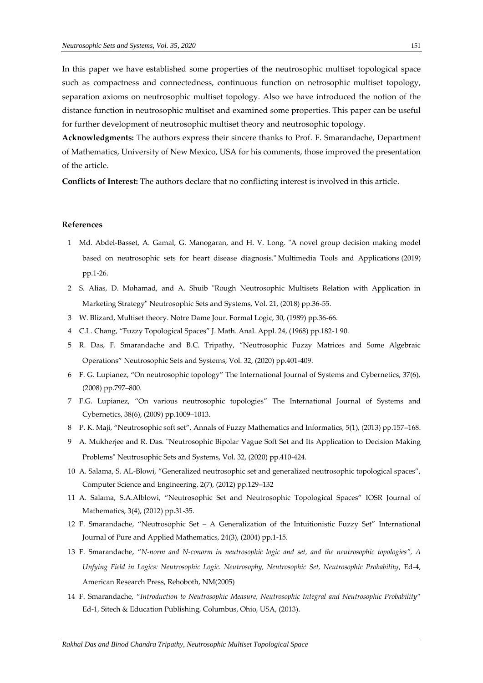In this paper we have established some properties of the neutrosophic multiset topological space such as compactness and connectedness, continuous function on netrosophic multiset topology, separation axioms on neutrosophic multiset topology. Also we have introduced the notion of the distance function in neutrosophic multiset and examined some properties. This paper can be useful for further development of neutrosophic multiset theory and neutrosophic topology.

**Acknowledgments:** The authors express their sincere thanks to Prof. F. Smarandache, Department of Mathematics, University of New Mexico, USA for his comments, those improved the presentation of the article.

**Conflicts of Interest:** The authors declare that no conflicting interest is involved in this article.

#### **References**

- 1 Md. Abdel-Basset, A. Gamal, G. Manogaran, and H. V. Long. "A novel group decision making model based on neutrosophic sets for heart disease diagnosis." Multimedia Tools and Applications (2019) pp.1-26.
- 2 S. Alias, D. Mohamad, and A. Shuib "Rough Neutrosophic Multisets Relation with Application in Marketing Strategy" Neutrosophic Sets and Systems, Vol. 21, (2018) pp.36-55.
- 3 W. Blizard, Multiset theory. Notre Dame Jour. Formal Logic, 30, (1989) pp.36-66.
- 4 C.L. Chang, "Fuzzy Topological Spaces" J. Math. Anal. Appl. 24, (1968) pp.182-1 90.
- 5 R. Das, F. Smarandache and B.C. Tripathy, "Neutrosophic Fuzzy Matrices and Some Algebraic Operations" Neutrosophic Sets and Systems, Vol. 32, (2020) pp.401-409.
- 6 F. G. Lupianez, "On neutrosophic topology" The International Journal of Systems and Cybernetics, 37(6), (2008) pp.797–800.
- 7 F.G. Lupianez, "On various neutrosophic topologies" The International Journal of Systems and Cybernetics, 38(6), (2009) pp.1009–1013.
- 8 P. K. Maji, "Neutrosophic soft set", Annals of Fuzzy Mathematics and Informatics, 5(1), (2013) pp.157–168.
- 9 A. Mukherjee and R. Das. "Neutrosophic Bipolar Vague Soft Set and Its Application to Decision Making Problems" Neutrosophic Sets and Systems, Vol. 32, (2020) pp.410-424.
- 10 A. Salama, S. AL-Blowi, "Generalized neutrosophic set and generalized neutrosophic topological spaces", Computer Science and Engineering, 2(7), (2012) pp.129–132
- 11 A. Salama, S.A.Alblowi, "Neutrosophic Set and Neutrosophic Topological Spaces" IOSR Journal of Mathematics, 3(4), (2012) pp.31-35.
- 12 F. Smarandache, "Neutrosophic Set A Generalization of the Intuitionistic Fuzzy Set" International Journal of Pure and Applied Mathematics, 24(3), (2004) pp.1-15.
- 13 F. Smarandache, "*N-norm and N-conorm in neutrosophic logic and set, and the neutrosophic topologies", A Unfying Field in Logics: Neutrosophic Logic. Neutrosophy, Neutrosophic Set, Neutrosophic Probability*, Ed-4, American Research Press, Rehoboth, NM(2005)
- 14 F. Smarandache, "*Introduction to Neutrosophic Measure, Neutrosophic Integral and Neutrosophic Probability*" Ed-1, Sitech & Education Publishing, Columbus, Ohio, USA, (2013).